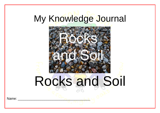# My Knowledge Journal



Name: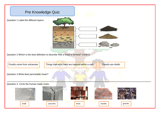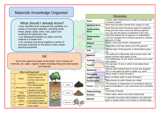## Materials Knowledge Organiser

## What should I already know?

- I have Identified and compared the suitability of a variety of everyday materials, including wood, metal, plastic, glass, brick, rock, paper and cardboard for particular uses
- I can distinguish between an object and the material it is made from
- I can compare and group together a variety of everyday materials on the basis of their simple physical properties

### Soil

Soil is the uppermost layer of the Earth. It is a mixture of: -minerals, air, water, organic matter including living and dead plants and animals

topsoil

subsoil

baseroc

|              | Why is soil important?    |                                                                              |  |
|--------------|---------------------------|------------------------------------------------------------------------------|--|
| $\mathbf{1}$ | Plants                    | Nutrients in soil help<br>plants to grow &<br>anchor roots in the<br>ground. |  |
| 2            | Atmosphere                | Soil releases gases<br>such as carbon<br>dioxide in to the air.              |  |
| 3            | Living<br>organisms       | Many animals, fungi<br>& bacteria live in soil.                              |  |
| 4            | <b>Nutrient</b><br>cycles | Soil is important in<br>recycling nutrients.                                 |  |
| 5            | Water                     | Soil helps to filter and<br>clean water.                                     |  |

|                                   | Glossary                                                                                                                                             |  |  |  |
|-----------------------------------|------------------------------------------------------------------------------------------------------------------------------------------------------|--|--|--|
| <b>Rock</b>                       | A hard, solid material that is made of minerals and<br>is found in nature.                                                                           |  |  |  |
| <b>Igneous Rock</b>               | Rock that has been formed from magna or lava.                                                                                                        |  |  |  |
| <b>Sedimentary</b><br><b>Rock</b> | Rock that has been formed by layers of sediment<br>being pressed down hard and sticking together.<br>You can see the layers of sediment in the rock. |  |  |  |
| <b>Metamorphic</b><br><b>Rock</b> | Rock that started out as igneous or sedimentary<br>rock but changed due to being exposed to extreme<br>pressure or heat.                             |  |  |  |
| <b>Magma</b>                      | Molten rocks that remain underground.                                                                                                                |  |  |  |
| Lava                              | Hot molten rock that comes out of the ground.                                                                                                        |  |  |  |
| Soil                              | The top layer of the ground, in which plants grow;<br>dirt.                                                                                          |  |  |  |
| <b>Bedrock</b>                    | The solid rock underneath soil or loose rocks; the<br>lowest of three main layers of soil.                                                           |  |  |  |
| <b>Subsoil</b>                    | The middle layer of soil, which contains more rocks<br>than topsoil.                                                                                 |  |  |  |
| <b>Topsoil</b>                    | The top layer of soil, in which most plants have<br>their roots.                                                                                     |  |  |  |
| <b>Sediment</b>                   | Natural solid material that is moved and dropped<br>off in a new place by wind or water e.g. sand.                                                   |  |  |  |
| <b>Permeable</b>                  | Allows water to pass through it.                                                                                                                     |  |  |  |
| Impermeable                       | Does not allow water to pass through it.                                                                                                             |  |  |  |
| <b>Fossilisation</b>              | The process by which fossils are made.                                                                                                               |  |  |  |
| <b>Fossil</b>                     | The remains or impression of a prehistoric plant or<br>animal embedded in rock and preserved in petrified<br>form.                                   |  |  |  |
| Palaeontology                     | The study of fossils.                                                                                                                                |  |  |  |
| <b>Erosion</b>                    | When water, wind or ice wears away land.                                                                                                             |  |  |  |
| <b>Mineral</b>                    | a naturally occurring solid substance (as diamond,<br>gold, or quartz) that is not of plant or animal origin.                                        |  |  |  |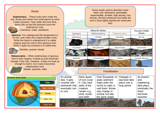#### Rocks

**Sedimentary** - These rocks form under the sea. Rocks are broken into small pieces by wind / water (erosion). They settle and over time, layers pile up and the pressure turns the sediment to rock. Limestone, chalk, sandstone

**Igneous** - Far underground the temperature is so hot, rock melts into a liquid (molten rock). When the liquid is underground it is called magma and can cool to form igneous rock. When it spills out (volcano) it is called lava.



Obsidian, granite, basalt

**Metamorphic** – When sedimentary or igneous rock is near magma, it heats up and chemicals change in the rock. However, it does not heat up enough to melt it. As it cools it becomes



metamorphic rock. Marble, quartzite, slate



Some words used to describe rocks: Hard, soft, absorbent, permeable, impermeable, durable, high density, low density. Density measures how bulky the rock is (how tightly packed the molecules are).

|                                                                                             | <b>Natural Rocks</b>                                                                                                  | Human-Made                                                                                                                                              |  |                                                              |                                                                                                   |  |  |
|---------------------------------------------------------------------------------------------|-----------------------------------------------------------------------------------------------------------------------|---------------------------------------------------------------------------------------------------------------------------------------------------------|--|--------------------------------------------------------------|---------------------------------------------------------------------------------------------------|--|--|
| Igneous                                                                                     |                                                                                                                       | Sedimentary                                                                                                                                             |  | Metamorphic                                                  | Rocks                                                                                             |  |  |
| Obsidian                                                                                    |                                                                                                                       | Chalk                                                                                                                                                   |  | Marble                                                       | <b>Brick</b>                                                                                      |  |  |
|                                                                                             |                                                                                                                       |                                                                                                                                                         |  |                                                              |                                                                                                   |  |  |
| Granite                                                                                     |                                                                                                                       | Sandstone                                                                                                                                               |  | Quartzite                                                    | Concrete                                                                                          |  |  |
|                                                                                             |                                                                                                                       |                                                                                                                                                         |  |                                                              |                                                                                                   |  |  |
| <b>Basalt</b>                                                                               |                                                                                                                       | Limestone                                                                                                                                               |  | Slate                                                        | <b>Coade Stone</b>                                                                                |  |  |
|                                                                                             |                                                                                                                       |                                                                                                                                                         |  |                                                              |                                                                                                   |  |  |
|                                                                                             | <b>Fossilisation</b>                                                                                                  |                                                                                                                                                         |  |                                                              |                                                                                                   |  |  |
| An animal<br>dies. It gets<br>covered with<br>sediments that<br>eventually turn<br>to rock. | More layers<br>of rock cover<br>it. Only hard<br>parts of the<br>creature<br>remain e.g.<br>shell, bones<br>and teeth | Over thousands of<br>years sediment<br>might enter the<br>mould to make a<br>cast fossil. Bones<br>may change to<br>mineral but stay<br>the same shape. |  | Changes in<br>sea level take<br>place over a<br>long period. | As erosion<br>and<br>weathering<br>take place,<br>eventually the<br>fossil<br>becomes<br>exposed. |  |  |